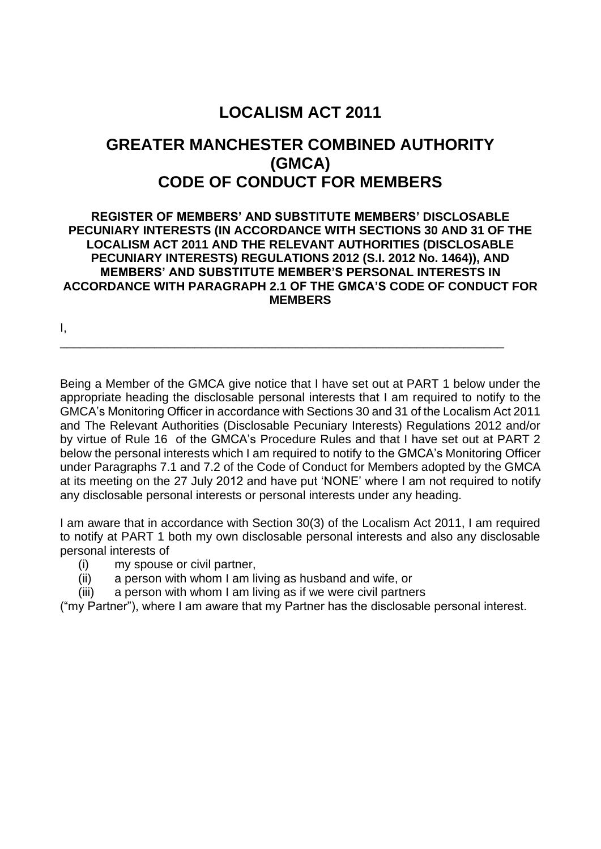## **LOCALISM ACT 2011**

### **GREATER MANCHESTER COMBINED AUTHORITY (GMCA) CODE OF CONDUCT FOR MEMBERS**

#### **REGISTER OF MEMBERS' AND SUBSTITUTE MEMBERS' DISCLOSABLE PECUNIARY INTERESTS (IN ACCORDANCE WITH SECTIONS 30 AND 31 OF THE LOCALISM ACT 2011 AND THE RELEVANT AUTHORITIES (DISCLOSABLE PECUNIARY INTERESTS) REGULATIONS 2012 (S.I. 2012 No. 1464)), AND MEMBERS' AND SUBSTITUTE MEMBER'S PERSONAL INTERESTS IN ACCORDANCE WITH PARAGRAPH 2.1 OF THE GMCA'S CODE OF CONDUCT FOR MEMBERS**

\_\_\_\_\_\_\_\_\_\_\_\_\_\_\_\_\_\_\_\_\_\_\_\_\_\_\_\_\_\_\_\_\_\_\_\_\_\_\_\_\_\_\_\_\_\_\_\_\_\_\_\_\_\_\_\_\_\_\_\_\_\_\_\_\_\_

I,

Being a Member of the GMCA give notice that I have set out at PART 1 below under the appropriate heading the disclosable personal interests that I am required to notify to the GMCA's Monitoring Officer in accordance with Sections 30 and 31 of the Localism Act 2011 and The Relevant Authorities (Disclosable Pecuniary Interests) Regulations 2012 and/or by virtue of Rule 16 of the GMCA's Procedure Rules and that I have set out at PART 2 below the personal interests which I am required to notify to the GMCA's Monitoring Officer under Paragraphs 7.1 and 7.2 of the Code of Conduct for Members adopted by the GMCA at its meeting on the 27 July 2012 and have put 'NONE' where I am not required to notify any disclosable personal interests or personal interests under any heading.

I am aware that in accordance with Section 30(3) of the Localism Act 2011, I am required to notify at PART 1 both my own disclosable personal interests and also any disclosable personal interests of

- (i) my spouse or civil partner,
- (ii) a person with whom I am living as husband and wife, or
- (iii) a person with whom I am living as if we were civil partners

("my Partner"), where I am aware that my Partner has the disclosable personal interest.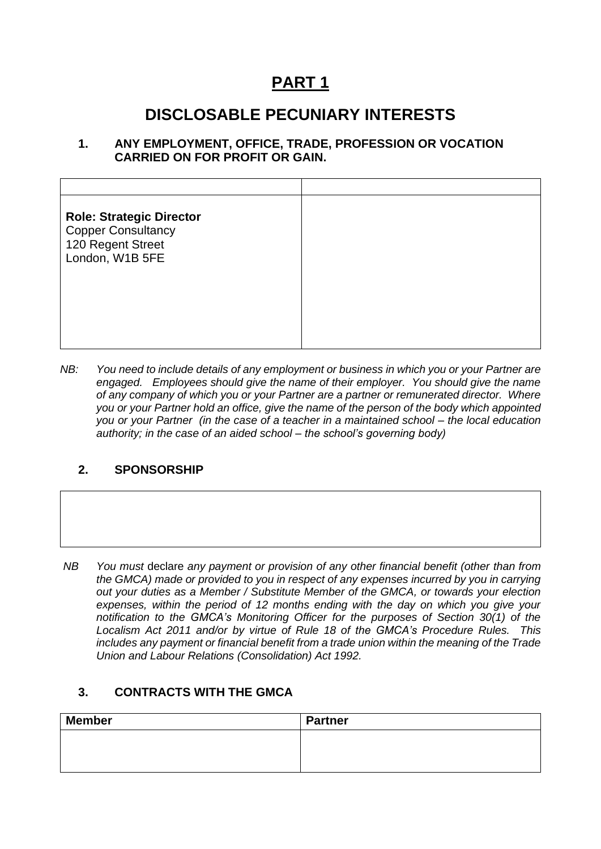# **PART 1**

### **DISCLOSABLE PECUNIARY INTERESTS**

#### **1. ANY EMPLOYMENT, OFFICE, TRADE, PROFESSION OR VOCATION CARRIED ON FOR PROFIT OR GAIN.**

| <b>Role: Strategic Director</b><br><b>Copper Consultancy</b><br>120 Regent Street<br>London, W1B 5FE |  |
|------------------------------------------------------------------------------------------------------|--|
|                                                                                                      |  |

*NB: You need to include details of any employment or business in which you or your Partner are engaged. Employees should give the name of their employer. You should give the name of any company of which you or your Partner are a partner or remunerated director. Where you or your Partner hold an office, give the name of the person of the body which appointed you or your Partner (in the case of a teacher in a maintained school – the local education authority; in the case of an aided school – the school's governing body)*

#### **2. SPONSORSHIP**

*NB You must* declare *any payment or provision of any other financial benefit (other than from the GMCA) made or provided to you in respect of any expenses incurred by you in carrying out your duties as a Member / Substitute Member of the GMCA, or towards your election expenses, within the period of 12 months ending with the day on which you give your notification to the GMCA's Monitoring Officer for the purposes of Section 30(1) of the Localism Act 2011 and/or by virtue of Rule 18 of the GMCA's Procedure Rules. This includes any payment or financial benefit from a trade union within the meaning of the Trade Union and Labour Relations (Consolidation) Act 1992.* 

#### **3. CONTRACTS WITH THE GMCA**

| <b>Member</b> | <b>Partner</b> |
|---------------|----------------|
|               |                |
|               |                |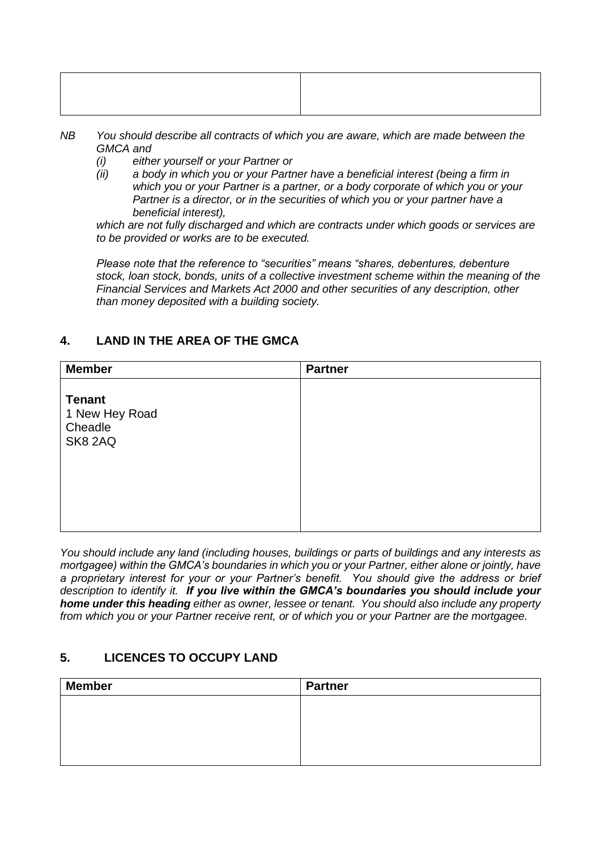- *NB You should describe all contracts of which you are aware, which are made between the GMCA and* 
	- *(i) either yourself or your Partner or*
	- *(ii) a body in which you or your Partner have a beneficial interest (being a firm in which you or your Partner is a partner, or a body corporate of which you or your Partner is a director, or in the securities of which you or your partner have a beneficial interest),*

*which are not fully discharged and which are contracts under which goods or services are to be provided or works are to be executed.*

*Please note that the reference to "securities" means "shares, debentures, debenture stock, loan stock, bonds, units of a collective investment scheme within the meaning of the Financial Services and Markets Act 2000 and other securities of any description, other than money deposited with a building society.*

#### **4. LAND IN THE AREA OF THE GMCA**

| <b>Member</b>                                         | <b>Partner</b> |
|-------------------------------------------------------|----------------|
| <b>Tenant</b><br>1 New Hey Road<br>Cheadle<br>SK8 2AQ |                |

*You should include any land (including houses, buildings or parts of buildings and any interests as mortgagee) within the GMCA's boundaries in which you or your Partner, either alone or jointly, have a proprietary interest for your or your Partner's benefit. You should give the address or brief description to identify it. If you live within the GMCA's boundaries you should include your home under this heading either as owner, lessee or tenant. You should also include any property from which you or your Partner receive rent, or of which you or your Partner are the mortgagee.*

#### **5. LICENCES TO OCCUPY LAND**

| <b>Partner</b> |
|----------------|
|                |
|                |
|                |
|                |
|                |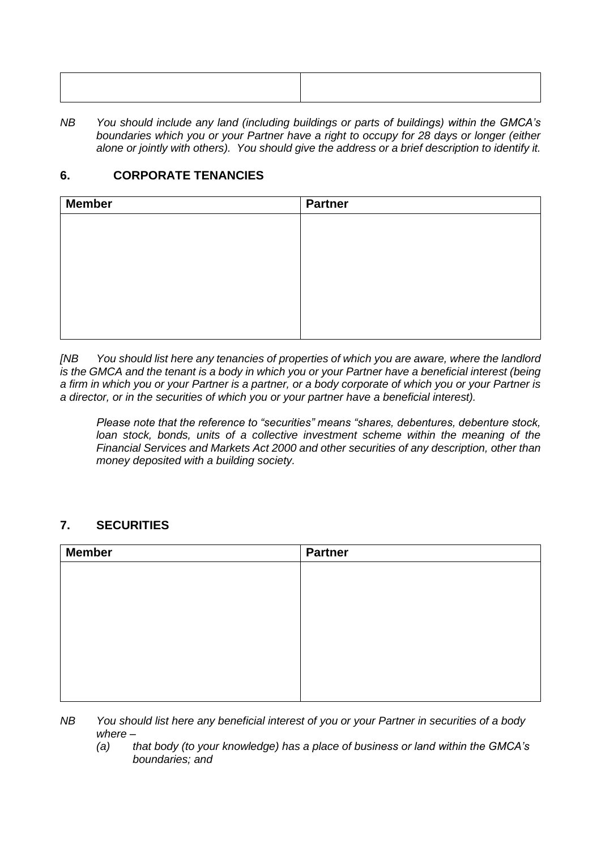*NB You should include any land (including buildings or parts of buildings) within the GMCA's boundaries which you or your Partner have a right to occupy for 28 days or longer (either alone or jointly with others). You should give the address or a brief description to identify it.*

#### **6. CORPORATE TENANCIES**

| <b>Member</b> | <b>Partner</b> |
|---------------|----------------|
|               |                |
|               |                |
|               |                |
|               |                |
|               |                |
|               |                |
|               |                |

*[NB You should list here any tenancies of properties of which you are aware, where the landlord is the GMCA and the tenant is a body in which you or your Partner have a beneficial interest (being a firm in which you or your Partner is a partner, or a body corporate of which you or your Partner is a director, or in the securities of which you or your partner have a beneficial interest).* 

*Please note that the reference to "securities" means "shares, debentures, debenture stock,*  loan stock. bonds, units of a collective investment scheme within the meaning of the *Financial Services and Markets Act 2000 and other securities of any description, other than money deposited with a building society.*

#### **7. SECURITIES**

| <b>Member</b> | <b>Partner</b> |
|---------------|----------------|
|               |                |
|               |                |
|               |                |
|               |                |
|               |                |
|               |                |
|               |                |
|               |                |

- *NB You should list here any beneficial interest of you or your Partner in securities of a body where –*
	- *(a) that body (to your knowledge) has a place of business or land within the GMCA's boundaries; and*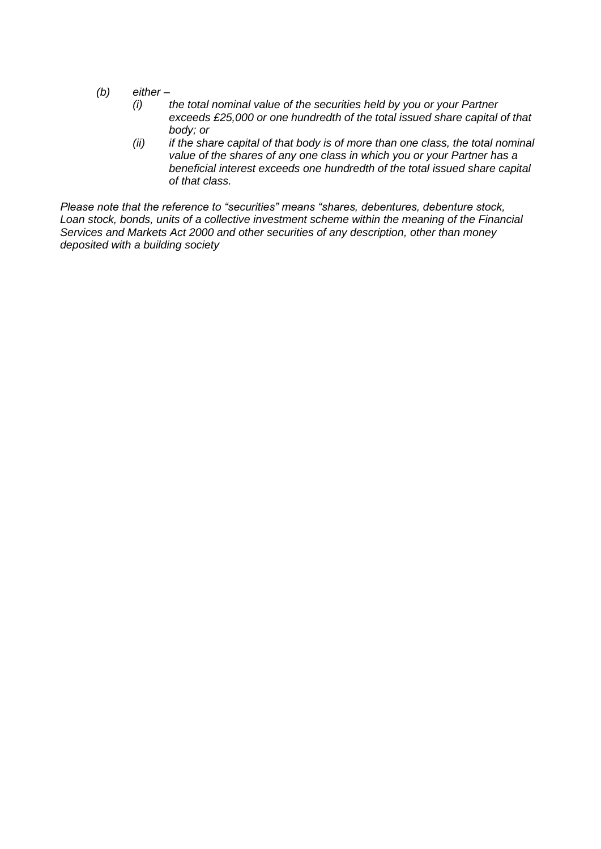- *(b) either –*
	- *(i) the total nominal value of the securities held by you or your Partner exceeds £25,000 or one hundredth of the total issued share capital of that body; or*
	- *(ii) if the share capital of that body is of more than one class, the total nominal value of the shares of any one class in which you or your Partner has a beneficial interest exceeds one hundredth of the total issued share capital of that class.*

*Please note that the reference to "securities" means "shares, debentures, debenture stock, Loan stock, bonds, units of a collective investment scheme within the meaning of the Financial Services and Markets Act 2000 and other securities of any description, other than money deposited with a building society*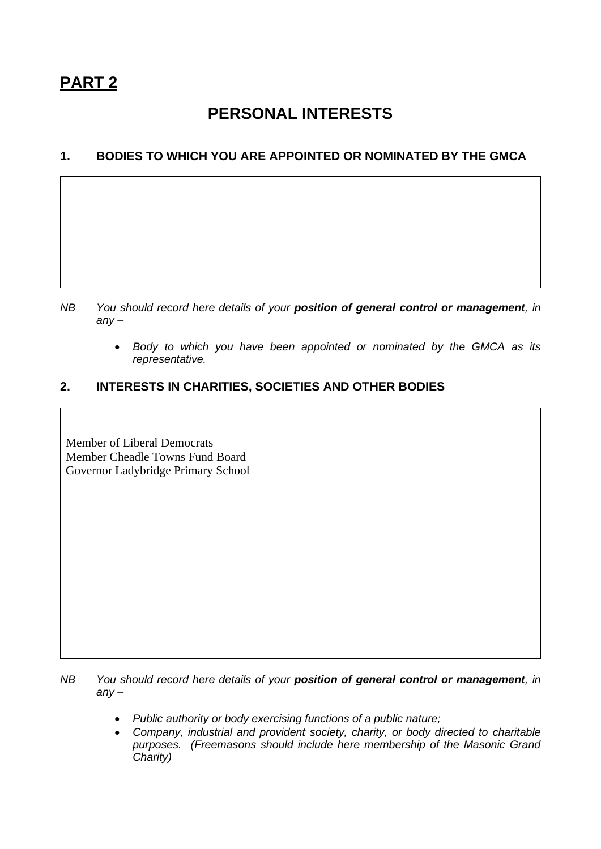### **PERSONAL INTERESTS**

#### **1. BODIES TO WHICH YOU ARE APPOINTED OR NOMINATED BY THE GMCA**

- *NB You should record here details of your position of general control or management, in any –*
	- *Body to which you have been appointed or nominated by the GMCA as its representative.*

#### **2. INTERESTS IN CHARITIES, SOCIETIES AND OTHER BODIES**

Member of Liberal Democrats Member Cheadle Towns Fund Board Governor Ladybridge Primary School

*NB You should record here details of your position of general control or management, in any –*

- *Public authority or body exercising functions of a public nature;*
- *Company, industrial and provident society, charity, or body directed to charitable purposes. (Freemasons should include here membership of the Masonic Grand Charity)*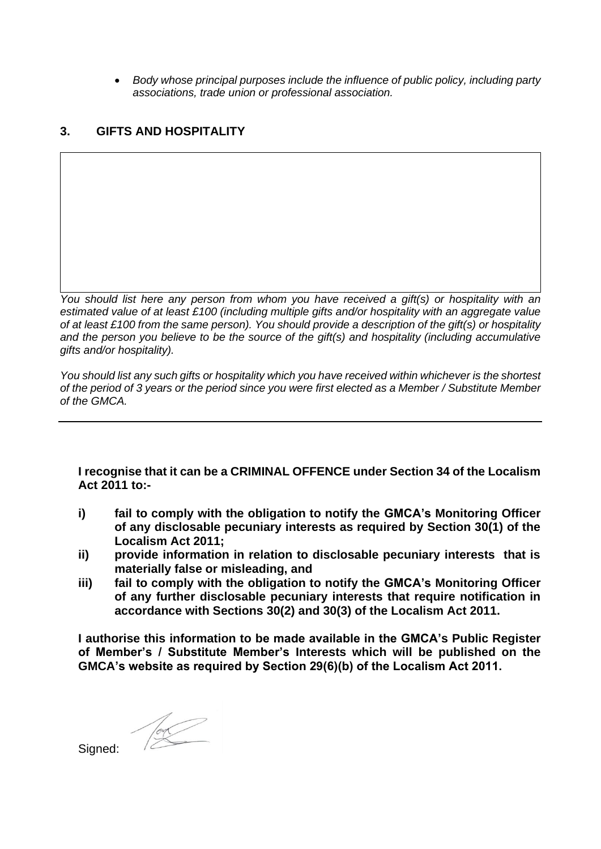• *Body whose principal purposes include the influence of public policy, including party associations, trade union or professional association.*

#### **3. GIFTS AND HOSPITALITY**

*You should list here any person from whom you have received a gift(s) or hospitality with an estimated value of at least £100 (including multiple gifts and/or hospitality with an aggregate value of at least £100 from the same person). You should provide a description of the gift(s) or hospitality and the person you believe to be the source of the gift(s) and hospitality (including accumulative gifts and/or hospitality).*

*You should list any such gifts or hospitality which you have received within whichever is the shortest of the period of 3 years or the period since you were first elected as a Member / Substitute Member of the GMCA.*

**I recognise that it can be a CRIMINAL OFFENCE under Section 34 of the Localism Act 2011 to:-**

- **i) fail to comply with the obligation to notify the GMCA's Monitoring Officer of any disclosable pecuniary interests as required by Section 30(1) of the Localism Act 2011;**
- **ii) provide information in relation to disclosable pecuniary interests that is materially false or misleading, and**
- **iii) fail to comply with the obligation to notify the GMCA's Monitoring Officer of any further disclosable pecuniary interests that require notification in accordance with Sections 30(2) and 30(3) of the Localism Act 2011.**

**I authorise this information to be made available in the GMCA's Public Register of Member's / Substitute Member's Interests which will be published on the GMCA's website as required by Section 29(6)(b) of the Localism Act 2011.** 

 $\begin{picture}(120,10) \put(0,0){\line(1,0){10}} \put(15,0){\line(1,0){10}} \put(15,0){\line(1,0){10}} \put(15,0){\line(1,0){10}} \put(15,0){\line(1,0){10}} \put(15,0){\line(1,0){10}} \put(15,0){\line(1,0){10}} \put(15,0){\line(1,0){10}} \put(15,0){\line(1,0){10}} \put(15,0){\line(1,0){10}} \put(15,0){\line(1,0){10}} \put(15,0){\line($ 

Signed: